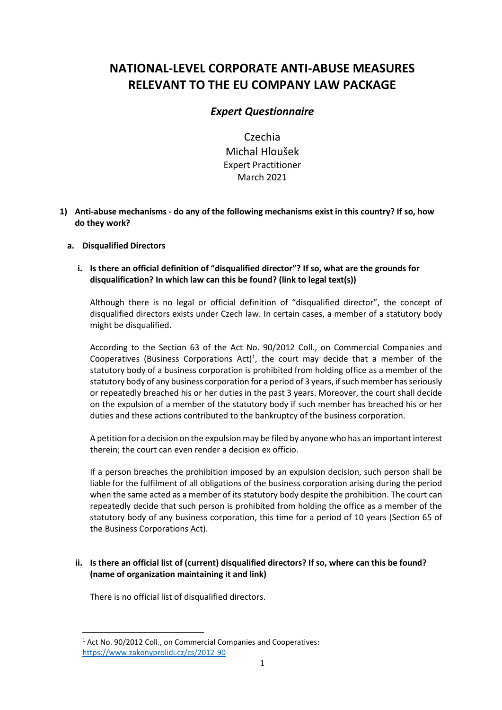# **NATIONAL-LEVEL CORPORATE ANTI-ABUSE MEASURES RELEVANT TO THE EU COMPANY LAW PACKAGE**

## *Expert Questionnaire*

Czechia Michal Hloušek Expert Practitioner March 2021

**1) Anti-abuse mechanisms - do any of the following mechanisms exist in this country? If so, how do they work?**

## **a. Disqualified Directors**

**i. Is there an official definition of "disqualified director"? If so, what are the grounds for disqualification? In which law can this be found? (link to legal text(s))** 

Although there is no legal or official definition of "disqualified director", the concept of disqualified directors exists under Czech law. In certain cases, a member of a statutory body might be disqualified.

According to the Section 63 of the Act No. 90/2012 Coll., on Commercial Companies and Cooperatives (Business Corporations Act)<sup>1</sup>, the court may decide that a member of the statutory body of a business corporation is prohibited from holding office as a member of the statutory body of any business corporation for a period of 3 years, if such member has seriously or repeatedly breached his or her duties in the past 3 years. Moreover, the court shall decide on the expulsion of a member of the statutory body if such member has breached his or her duties and these actions contributed to the bankruptcy of the business corporation.

A petition for a decision on the expulsion may be filed by anyone who has an important interest therein; the court can even render a decision ex officio.

If a person breaches the prohibition imposed by an expulsion decision, such person shall be liable for the fulfilment of all obligations of the business corporation arising during the period when the same acted as a member of its statutory body despite the prohibition. The court can repeatedly decide that such person is prohibited from holding the office as a member of the statutory body of any business corporation, this time for a period of 10 years (Section 65 of the Business Corporations Act).

## **ii. Is there an official list of (current) disqualified directors? If so, where can this be found? (name of organization maintaining it and link)**

There is no official list of disqualified directors.

<sup>&</sup>lt;sup>1</sup> Act No. 90/2012 Coll., on Commercial Companies and Cooperatives: <https://www.zakonyprolidi.cz/cs/2012-90>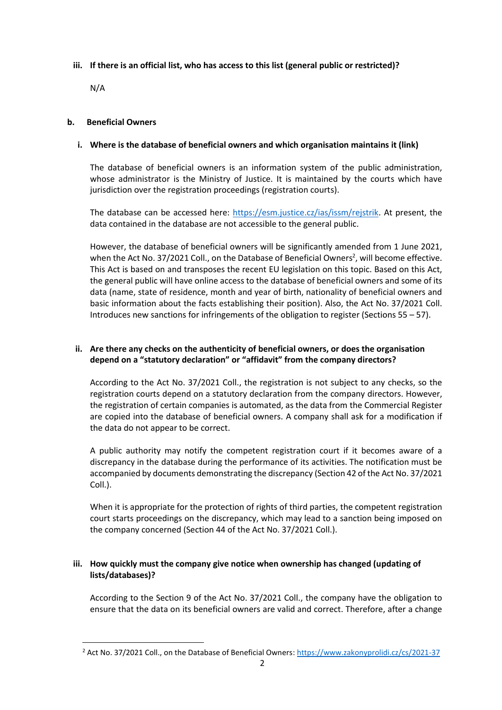#### **iii. If there is an official list, who has access to this list (general public or restricted)?**

N/A

#### **b. Beneficial Owners**

#### **i. Where is the database of beneficial owners and which organisation maintains it (link)**

The database of beneficial owners is an information system of the public administration, whose administrator is the Ministry of Justice. It is maintained by the courts which have jurisdiction over the registration proceedings (registration courts).

The database can be accessed here: [https://esm.justice.cz/ias/issm/rejstrik.](https://esm.justice.cz/ias/issm/rejstrik) At present, the data contained in the database are not accessible to the general public.

However, the database of beneficial owners will be significantly amended from 1 June 2021, when the Act No. 37/2021 Coll., on the Database of Beneficial Owners<sup>2</sup>, will become effective. This Act is based on and transposes the recent EU legislation on this topic. Based on this Act, the general public will have online access to the database of beneficial owners and some of its data (name, state of residence, month and year of birth, nationality of beneficial owners and basic information about the facts establishing their position). Also, the Act No. 37/2021 Coll. Introduces new sanctions for infringements of the obligation to register (Sections 55 – 57).

## **ii. Are there any checks on the authenticity of beneficial owners, or does the organisation depend on a "statutory declaration" or "affidavit" from the company directors?**

According to the Act No. 37/2021 Coll., the registration is not subject to any checks, so the registration courts depend on a statutory declaration from the company directors. However, the registration of certain companies is automated, as the data from the Commercial Register are copied into the database of beneficial owners. A company shall ask for a modification if the data do not appear to be correct.

A public authority may notify the competent registration court if it becomes aware of a discrepancy in the database during the performance of its activities. The notification must be accompanied by documents demonstrating the discrepancy (Section 42 of the Act No. 37/2021 Coll.).

When it is appropriate for the protection of rights of third parties, the competent registration court starts proceedings on the discrepancy, which may lead to a sanction being imposed on the company concerned (Section 44 of the Act No. 37/2021 Coll.).

## **iii. How quickly must the company give notice when ownership has changed (updating of lists/databases)?**

According to the Section 9 of the Act No. 37/2021 Coll., the company have the obligation to ensure that the data on its beneficial owners are valid and correct. Therefore, after a change

<sup>&</sup>lt;sup>2</sup> Act No. 37/2021 Coll., on the Database of Beneficial Owners[: https://www.zakonyprolidi.cz/cs/2021-37](https://www.zakonyprolidi.cz/cs/2021-37)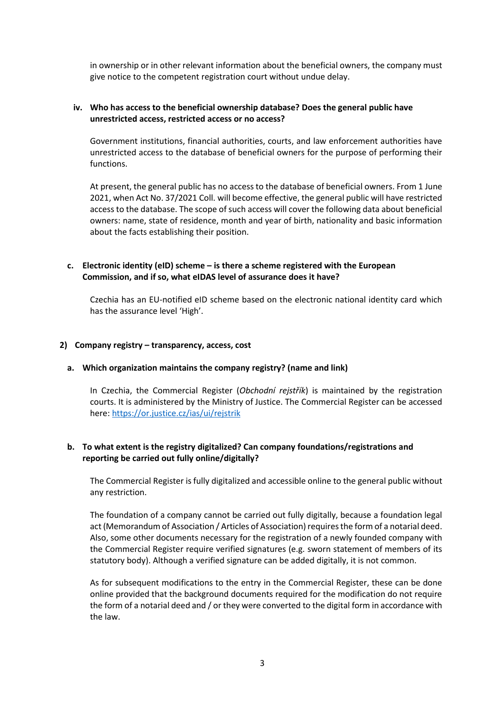in ownership or in other relevant information about the beneficial owners, the company must give notice to the competent registration court without undue delay.

#### **iv. Who has access to the beneficial ownership database? Does the general public have unrestricted access, restricted access or no access?**

Government institutions, financial authorities, courts, and law enforcement authorities have unrestricted access to the database of beneficial owners for the purpose of performing their functions.

At present, the general public has no access to the database of beneficial owners. From 1 June 2021, when Act No. 37/2021 Coll. will become effective, the general public will have restricted access to the database. The scope of such access will cover the following data about beneficial owners: name, state of residence, month and year of birth, nationality and basic information about the facts establishing their position.

#### **c. Electronic identity (eID) scheme – is there a scheme registered with the European Commission, and if so, what eIDAS level of assurance does it have?**

Czechia has an EU-notified eID scheme based on the electronic national identity card which has the assurance level 'High'.

#### **2) Company registry – transparency, access, cost**

#### **a. Which organization maintains the company registry? (name and link)**

In Czechia, the Commercial Register (*Obchodní rejstřík*) is maintained by the registration courts. It is administered by the Ministry of Justice. The Commercial Register can be accessed here:<https://or.justice.cz/ias/ui/rejstrik>

#### **b. To what extent is the registry digitalized? Can company foundations/registrations and reporting be carried out fully online/digitally?**

The Commercial Register is fully digitalized and accessible online to the general public without any restriction.

The foundation of a company cannot be carried out fully digitally, because a foundation legal act (Memorandum of Association / Articles of Association) requires the form of a notarial deed. Also, some other documents necessary for the registration of a newly founded company with the Commercial Register require verified signatures (e.g. sworn statement of members of its statutory body). Although a verified signature can be added digitally, it is not common.

As for subsequent modifications to the entry in the Commercial Register, these can be done online provided that the background documents required for the modification do not require the form of a notarial deed and / or they were converted to the digital form in accordance with the law.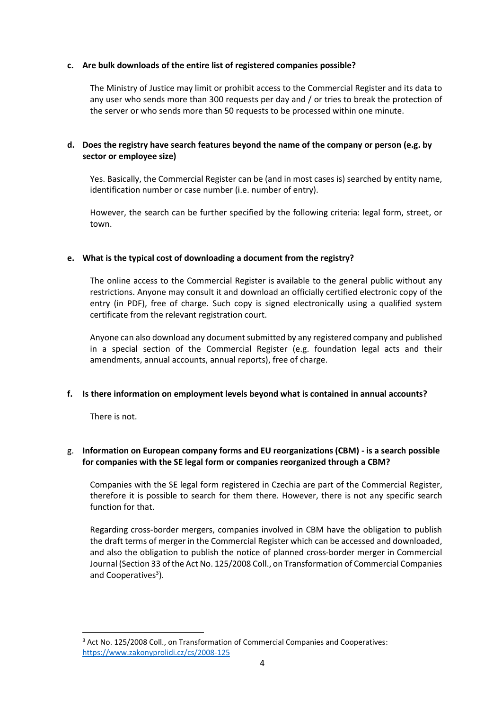#### **c. Are bulk downloads of the entire list of registered companies possible?**

The Ministry of Justice may limit or prohibit access to the Commercial Register and its data to any user who sends more than 300 requests per day and / or tries to break the protection of the server or who sends more than 50 requests to be processed within one minute.

## **d. Does the registry have search features beyond the name of the company or person (e.g. by sector or employee size)**

Yes. Basically, the Commercial Register can be (and in most cases is) searched by entity name, identification number or case number (i.e. number of entry).

However, the search can be further specified by the following criteria: legal form, street, or town.

#### **e. What is the typical cost of downloading a document from the registry?**

The online access to the Commercial Register is available to the general public without any restrictions. Anyone may consult it and download an officially certified electronic copy of the entry (in PDF), free of charge. Such copy is signed electronically using a qualified system certificate from the relevant registration court.

Anyone can also download any documentsubmitted by any registered company and published in a special section of the Commercial Register (e.g. foundation legal acts and their amendments, annual accounts, annual reports), free of charge.

## **f. Is there information on employment levels beyond what is contained in annual accounts?**

There is not.

## g. **Information on European company forms and EU reorganizations (CBM) - is a search possible for companies with the SE legal form or companies reorganized through a CBM?**

Companies with the SE legal form registered in Czechia are part of the Commercial Register, therefore it is possible to search for them there. However, there is not any specific search function for that.

Regarding cross-border mergers, companies involved in CBM have the obligation to publish the draft terms of merger in the Commercial Register which can be accessed and downloaded, and also the obligation to publish the notice of planned cross-border merger in Commercial Journal (Section 33 of the Act No. 125/2008 Coll., on Transformation of Commercial Companies and Cooperatives<sup>3</sup>).

<sup>&</sup>lt;sup>3</sup> Act No. 125/2008 Coll., on Transformation of Commercial Companies and Cooperatives: <https://www.zakonyprolidi.cz/cs/2008-125>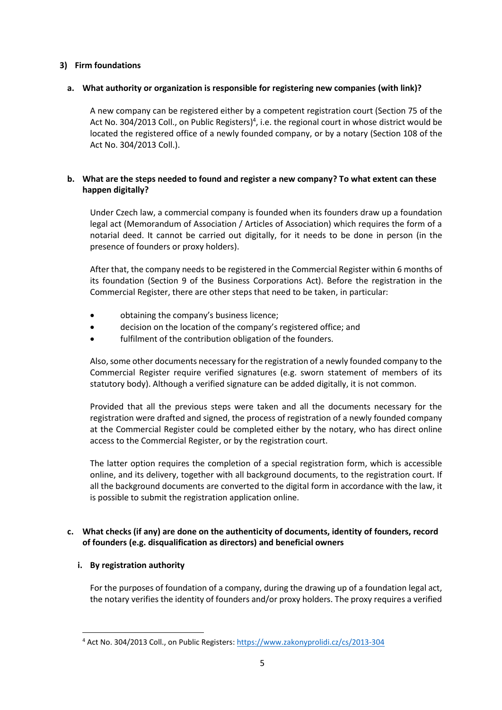#### **3) Firm foundations**

#### **a. What authority or organization is responsible for registering new companies (with link)?**

A new company can be registered either by a competent registration court (Section 75 of the Act No. 304/2013 Coll., on Public Registers)<sup>4</sup>, i.e. the regional court in whose district would be located the registered office of a newly founded company, or by a notary (Section 108 of the Act No. 304/2013 Coll.).

## **b. What are the steps needed to found and register a new company? To what extent can these happen digitally?**

Under Czech law, a commercial company is founded when its founders draw up a foundation legal act (Memorandum of Association / Articles of Association) which requires the form of a notarial deed. It cannot be carried out digitally, for it needs to be done in person (in the presence of founders or proxy holders).

After that, the company needs to be registered in the Commercial Register within 6 months of its foundation (Section 9 of the Business Corporations Act). Before the registration in the Commercial Register, there are other steps that need to be taken, in particular:

- obtaining the company's business licence;
- decision on the location of the company's registered office; and
- fulfilment of the contribution obligation of the founders.

Also, some other documents necessary for the registration of a newly founded company to the Commercial Register require verified signatures (e.g. sworn statement of members of its statutory body). Although a verified signature can be added digitally, it is not common.

Provided that all the previous steps were taken and all the documents necessary for the registration were drafted and signed, the process of registration of a newly founded company at the Commercial Register could be completed either by the notary, who has direct online access to the Commercial Register, or by the registration court.

The latter option requires the completion of a special registration form, which is accessible online, and its delivery, together with all background documents, to the registration court. If all the background documents are converted to the digital form in accordance with the law, it is possible to submit the registration application online.

## **c. What checks (if any) are done on the authenticity of documents, identity of founders, record of founders (e.g. disqualification as directors) and beneficial owners**

## **i. By registration authority**

For the purposes of foundation of a company, during the drawing up of a foundation legal act, the notary verifies the identity of founders and/or proxy holders. The proxy requires a verified

<sup>4</sup> Act No. 304/2013 Coll., on Public Registers:<https://www.zakonyprolidi.cz/cs/2013-304>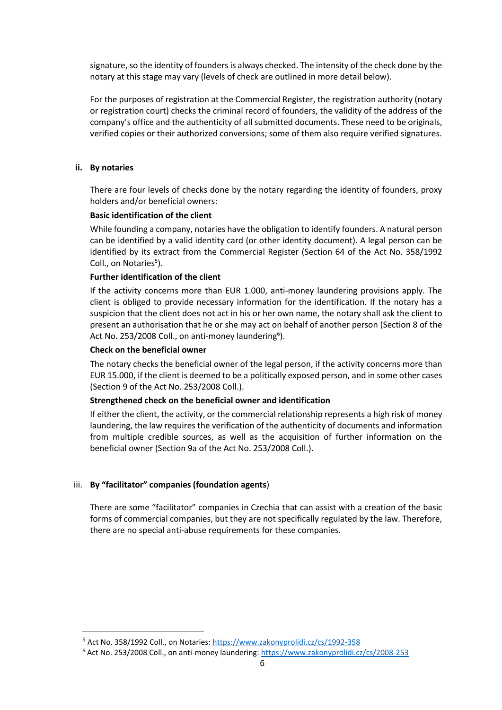signature, so the identity of founders is always checked. The intensity of the check done by the notary at this stage may vary (levels of check are outlined in more detail below).

For the purposes of registration at the Commercial Register, the registration authority (notary or registration court) checks the criminal record of founders, the validity of the address of the company's office and the authenticity of all submitted documents. These need to be originals, verified copies or their authorized conversions; some of them also require verified signatures.

#### **ii. By notaries**

There are four levels of checks done by the notary regarding the identity of founders, proxy holders and/or beneficial owners:

#### **Basic identification of the client**

While founding a company, notaries have the obligation to identify founders. A natural person can be identified by a valid identity card (or other identity document). A legal person can be identified by its extract from the Commercial Register (Section 64 of the Act No. 358/1992 Coll., on Notaries<sup>5</sup>).

#### **Further identification of the client**

If the activity concerns more than EUR 1.000, anti-money laundering provisions apply. The client is obliged to provide necessary information for the identification. If the notary has a suspicion that the client does not act in his or her own name, the notary shall ask the client to present an authorisation that he or she may act on behalf of another person (Section 8 of the Act No. 253/2008 Coll., on anti-money laundering<sup>6</sup>).

#### **Check on the beneficial owner**

The notary checks the beneficial owner of the legal person, if the activity concerns more than EUR 15.000, if the client is deemed to be a politically exposed person, and in some other cases (Section 9 of the Act No. 253/2008 Coll.).

#### **Strengthened check on the beneficial owner and identification**

If either the client, the activity, or the commercial relationship represents a high risk of money laundering, the law requires the verification of the authenticity of documents and information from multiple credible sources, as well as the acquisition of further information on the beneficial owner (Section 9a of the Act No. 253/2008 Coll.).

## iii. **By "facilitator" companies (foundation agents**)

There are some "facilitator" companies in Czechia that can assist with a creation of the basic forms of commercial companies, but they are not specifically regulated by the law. Therefore, there are no special anti-abuse requirements for these companies.

<sup>&</sup>lt;sup>5</sup> Act No. 358/1992 Coll., on Notaries: <https://www.zakonyprolidi.cz/cs/1992-358>

<sup>&</sup>lt;sup>6</sup> Act No. 253/2008 Coll., on anti-money laundering: <https://www.zakonyprolidi.cz/cs/2008-253>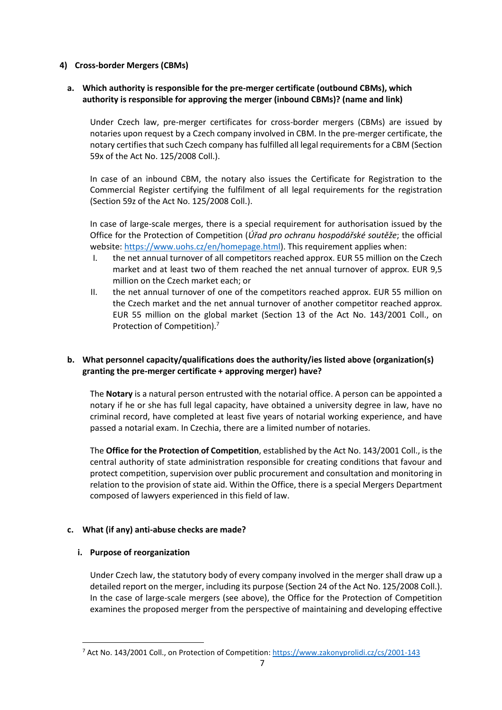## **4) Cross-border Mergers (CBMs)**

## **a. Which authority is responsible for the pre-merger certificate (outbound CBMs), which authority is responsible for approving the merger (inbound CBMs)? (name and link)**

Under Czech law, pre-merger certificates for cross-border mergers (CBMs) are issued by notaries upon request by a Czech company involved in CBM. In the pre-merger certificate, the notary certifies that such Czech company has fulfilled all legal requirements for a CBM (Section 59x of the Act No. 125/2008 Coll.).

In case of an inbound CBM, the notary also issues the Certificate for Registration to the Commercial Register certifying the fulfilment of all legal requirements for the registration (Section 59z of the Act No. 125/2008 Coll.).

In case of large-scale merges, there is a special requirement for authorisation issued by the Office for the Protection of Competition (*Úřad pro ochranu hospodářské soutěže*; the official website: [https://www.uohs.cz/en/homepage.html\)](https://www.uohs.cz/en/homepage.html). This requirement applies when:

- I. the net annual turnover of all competitors reached approx. EUR 55 million on the Czech market and at least two of them reached the net annual turnover of approx. EUR 9,5 million on the Czech market each; or
- II. the net annual turnover of one of the competitors reached approx. EUR 55 million on the Czech market and the net annual turnover of another competitor reached approx. EUR 55 million on the global market (Section 13 of the Act No. 143/2001 Coll., on Protection of Competition). 7

## **b. What personnel capacity/qualifications does the authority/ies listed above (organization(s) granting the pre-merger certificate + approving merger) have?**

The **Notary** is a natural person entrusted with the notarial office. A person can be appointed a notary if he or she has full legal capacity, have obtained a university degree in law, have no criminal record, have completed at least five years of notarial working experience, and have passed a notarial exam. In Czechia, there are a limited number of notaries.

The **Office for the Protection of Competition**, established by the Act No. 143/2001 Coll., is the central authority of state administration responsible for creating conditions that favour and protect competition, supervision over public procurement and consultation and monitoring in relation to the provision of state aid. Within the Office, there is a special Mergers Department composed of lawyers experienced in this field of law.

## **c. What (if any) anti-abuse checks are made?**

## **i. Purpose of reorganization**

Under Czech law, the statutory body of every company involved in the merger shall draw up a detailed report on the merger, including its purpose (Section 24 of the Act No. 125/2008 Coll.). In the case of large-scale mergers (see above), the Office for the Protection of Competition examines the proposed merger from the perspective of maintaining and developing effective

<sup>7</sup> Act No. 143/2001 Coll., on Protection of Competition: <https://www.zakonyprolidi.cz/cs/2001-143>